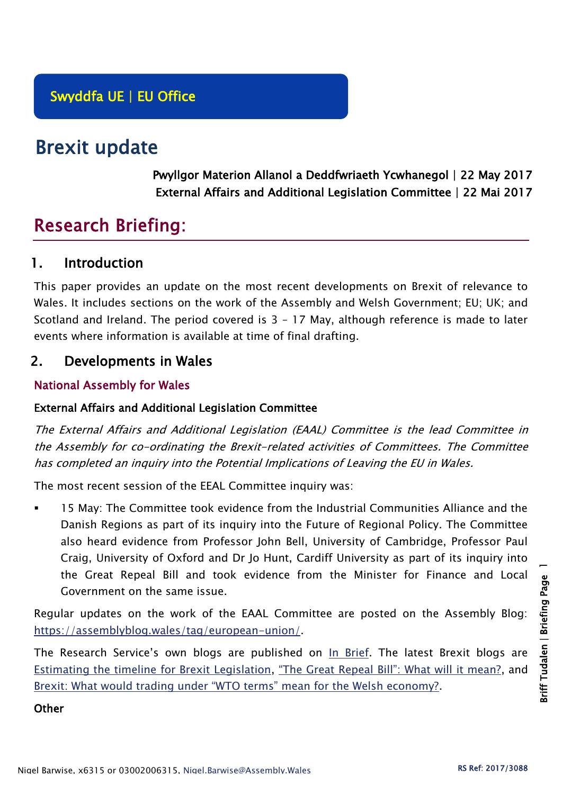# Brexit update

Pwyllgor Materion Allanol a Deddfwriaeth Ycwhanegol | 22 May 2017 External Affairs and Additional Legislation Committee | 22 Mai 2017

# Research Briefing:

# 1. Introduction

This paper provides an update on the most recent developments on Brexit of relevance to Wales. It includes sections on the work of the Assembly and Welsh Government; EU; UK; and Scotland and Ireland. The period covered is 3 – 17 May, although reference is made to later events where information is available at time of final drafting.

## 2. Developments in Wales

## National Assembly for Wales

## External Affairs and Additional Legislation Committee

The External Affairs and Additional Legislation (EAAL) Committee is the lead Committee in the Assembly for co-ordinating the Brexit-related activities of Committees. The Committee has completed an inquiry into the Potential Implications of Leaving the EU in Wales.

The most recent session of the EEAL Committee inquiry was:

 15 May: The Committee took evidence from the Industrial Communities Alliance and the Danish Regions as part of its inquiry into the Future of Regional Policy. The Committee also heard evidence from Professor John Bell, University of Cambridge, Professor Paul Craig, University of Oxford and Dr Jo Hunt, Cardiff University as part of its inquiry into the Great Repeal Bill and took evidence from the Minister for Finance and Local Government on the same issue.

Regular updates on the work of the EAAL Committee are posted on the Assembly Blog: [https://assemblyblog.wales/tag/european-union/.](https://assemblyblog.wales/tag/european-union/)

The Research Service's own blogs are published on [In Brief.](https://assemblyinbrief.wordpress.com/) The latest Brexit blogs are [Estimating the timeline for Brexit Legislation,](https://assemblyinbrief.wordpress.com/2017/04/25/estimating-the-timeline-for-brexit-legislation/) ["The Great Repeal Bill": What will it mean?](https://assemblyinbrief.wordpress.com/2017/04/10/the-great-repeal-bill-what-will-it-mean/), and [Brexit: What would trading under "WTO terms" mean for the Welsh economy?](https://assemblyinbrief.wordpress.com/2017/04/07/brexit-what-would-trading-under-wto-terms-mean-for-the-welsh-economy/).

#### **Other**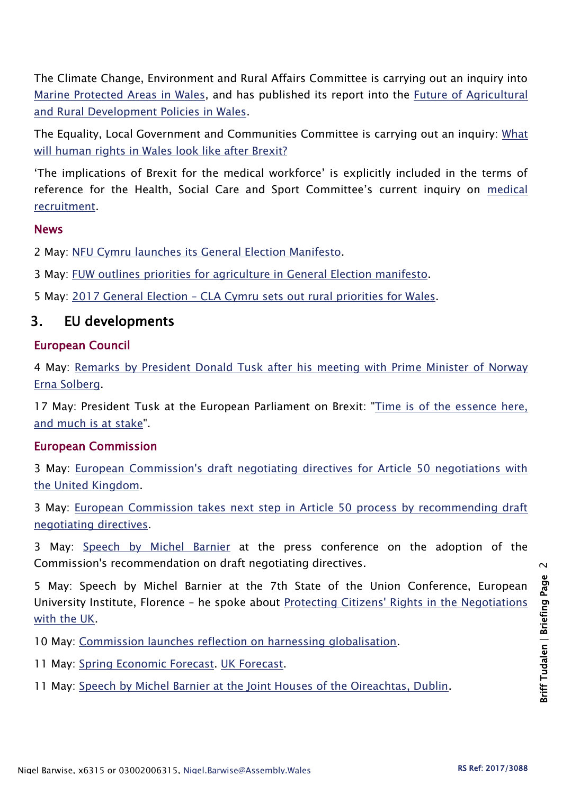The Climate Change, Environment and Rural Affairs Committee is carrying out an inquiry into [Marine Protected Areas in Wales,](http://senedd.assembly.wales/mgIssueHistoryHome.aspx?IId=16663) and has published its report into the [Future of Agricultural](http://senedd.assembly.wales/mgIssueHistoryHome.aspx?IId=15876)  [and Rural Development Policies in Wales.](http://senedd.assembly.wales/mgIssueHistoryHome.aspx?IId=15876)

The Equality, Local Government and Communities Committee is carrying out an inquiry: [What](http://senedd.assembly.wales/mgConsultationDisplay.aspx?id=244&RPID=1008299204&cp=yes)  [will human rights in Wales look like after Brexit?](http://senedd.assembly.wales/mgConsultationDisplay.aspx?id=244&RPID=1008299204&cp=yes)

'The implications of Brexit for the medical workforce' is explicitly included in the terms of reference for the Health, Social Care and Sport Committee's current inquiry on [medical](http://senedd.assembly.wales/mgIssueHistoryHome.aspx?IId=16122)  [recruitment.](http://senedd.assembly.wales/mgIssueHistoryHome.aspx?IId=16122)

#### News

2 May: [NFU Cymru launches its General Election Manifesto.](https://www.nfu-cymru.org.uk/news/latest-news/nfu-cymru-launches-its-general-election-manifesto/)

3 May: [FUW outlines priorities for agriculture in General Election manifesto.](http://fuw.org.uk/fuw-outlines-priorities-for-agriculture-in-general-election-manifesto/)

5 May: 2017 General Election – [CLA Cymru sets out rural priorities for Wales.](http://www.cla.org.uk/node/10573)

# 3. EU developments

#### European Council

4 May: [Remarks by President Donald Tusk after his meeting with Prime Minister of Norway](http://www.consilium.europa.eu/en/press/press-releases/2017/05/04-tusk-statement-mtg-solberg/)  [Erna Solberg.](http://www.consilium.europa.eu/en/press/press-releases/2017/05/04-tusk-statement-mtg-solberg/)

17 May: President Tusk at the European Parliament on Brexit: ["Time is of the essence here,](http://www.consilium.europa.eu/en/press/press-releases/2017/05/17-tusk-report-european-parliament/)  [and much is at stake"](http://www.consilium.europa.eu/en/press/press-releases/2017/05/17-tusk-report-european-parliament/).

## European Commission

3 May: [European Commission's draft negotiating directives for Article 50 negotiations with](http://europa.eu/rapid/press-release_MEMO-17-1183_en.htm)  [the United Kingdom.](http://europa.eu/rapid/press-release_MEMO-17-1183_en.htm)

3 May: [European Commission takes next step in Article 50 process by recommending draft](http://europa.eu/rapid/press-release_IP-17-1170_en.htm)  [negotiating directives.](http://europa.eu/rapid/press-release_IP-17-1170_en.htm)

3 May: [Speech by Michel Barnier](http://europa.eu/rapid/press-release_SPEECH-17-1205_en.htm) at the press conference on the adoption of the Commission's recommendation on draft negotiating directives.

5 May: Speech by Michel Barnier at the 7th State of the Union Conference, European University Institute, Florence – he spoke about [Protecting Citizens' Rights in the Negotiations](http://europa.eu/rapid/press-release_SPEECH-17-1236_en.htm)  [with the UK.](http://europa.eu/rapid/press-release_SPEECH-17-1236_en.htm)

10 May: [Commission launches reflection on harnessing globalisation.](http://europa.eu/rapid/press-release_IP-17-1230_en.htm)

- 11 May: [Spring Economic Forecast.](https://ec.europa.eu/info/business-economy-euro/economic-performance-and-forecasts/economic-forecasts/spring-2017-economic-forecast_en) [UK Forecast.](https://ec.europa.eu/info/sites/info/files/ecfin_forecast_spring_110517_uk_en.pdf)
- 11 May: [Speech by Michel Barnier at the Joint Houses of the Oireachtas, Dublin.](http://europa.eu/rapid/press-release_SPEECH-17-1276_en.htm)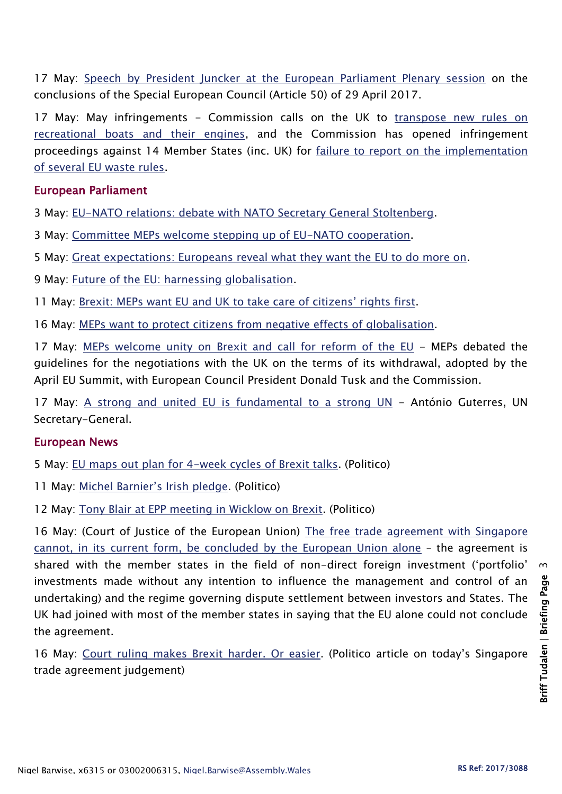17 May: [Speech by President Juncker at the European Parliament Plenary session](http://europa.eu/rapid/press-release_SPEECH-17-1362_en.htm) on the conclusions of the Special European Council (Article 50) of 29 April 2017.

17 May: May infringements - Commission calls on the UK to transpose new rules on [recreational boats and their engines,](http://europa.eu/rapid/press-release_MEMO-17-1280_en.htm) and the Commission has opened infringement proceedings against 14 Member States (inc. UK) for [failure to report on the implementation](http://europa.eu/rapid/press-release_MEMO-17-1281_en.htm)  [of several EU waste rules.](http://europa.eu/rapid/press-release_MEMO-17-1281_en.htm)

#### European Parliament

3 May: [EU-NATO relations: debate with NATO Secretary General Stoltenberg.](http://www.europarl.europa.eu/news/en/news-room/20170502IPR73163/eu-nato-relations-debate-with-nato-secretary-general-stoltenberg-on-wednesday)

3 May: [Committee MEPs welcome stepping up of EU-NATO cooperation.](http://www.europarl.europa.eu/news/en/news-room/20170502IPR73163/committee-meps-welcome-stepping-up-of-eu-nato-cooperation)

5 May: [Great expectations: Europeans reveal what they want the EU to do more on.](http://www.europarl.europa.eu/news/en/news-room/20170502STO73030/great-expectations-europeans-reveal-what-they-want-the-eu-to-do-more-on)

9 May: [Future of the EU: harnessing globalisation.](http://www.europarl.europa.eu/news/en/news-room/20170505STO73507/future-of-the-eu-harnessing-globalisation)

11 May: [Brexit: MEPs want EU and UK to take care of citizens' rights first](http://www.europarl.europa.eu/news/en/news-room/20170509IPR73934/brexit-meps-want-eu-and-uk-to-take-care-of-citizens%E2%80%99-rights-first).

16 May: [MEPs want to protect citizens from negative effects of globalisation.](http://www.europarl.europa.eu/news/en/news-room/20170509IPR73925/meps-want-to-protect-citizens-from-negative-effects-of-globalisation)

17 May: [MEPs welcome unity on Brexit and call for reform of the EU](http://www.europarl.europa.eu/news/en/news-room/20170509IPR73931/meps-welcome-unity-on-brexit-and-call-for-reform-of-the-eu) - MEPs debated the guidelines for the negotiations with the UK on the terms of its withdrawal, adopted by the April EU Summit, with European Council President Donald Tusk and the Commission.

17 May: [A strong and united EU is fundamental to a strong UN](http://www.europarl.europa.eu/news/en/news-room/20170515STO74833/ant%C3%B3nio-guterres-a-strong-and-united-eu-is-fundamental-to-a-strong-un) - António Guterres, UN Secretary-General.

#### European News

5 May: [EU maps out plan for 4-week cycles of Brexit talks.](http://www.politico.eu/article/eu-maps-out-plan-for-brexit-talks-choreography/) (Politico)

11 May: [Michel Barnier's Irish pledge](http://www.politico.eu/article/michel-barniers-irish-pledge/). (Politico)

12 May: [Tony Blair at EPP meeting in Wicklow on Brexit.](http://www.politico.eu/article/tony-blair-preaches-to-conservatives-on-brexit-ireland/) (Politico)

16 May: (Court of Justice of the European Union) [The free trade agreement with Singapore](https://curia.europa.eu/jcms/upload/docs/application/pdf/2017-05/cp170052en.pdf)  [cannot, in its current form, be concluded by the European Union alone](https://curia.europa.eu/jcms/upload/docs/application/pdf/2017-05/cp170052en.pdf) – the agreement is shared with the member states in the field of non-direct foreign investment ('portfolio' investments made without any intention to influence the management and control of an undertaking) and the regime governing dispute settlement between investors and States. The UK had joined with most of the member states in saying that the EU alone could not conclude the agreement.

16 May: [Court ruling makes Brexit harder. Or easier.](http://www.politico.eu/article/court-ruling-makes-brexit-harder-or-easier/) (Politico article on today's Singapore trade agreement judgement)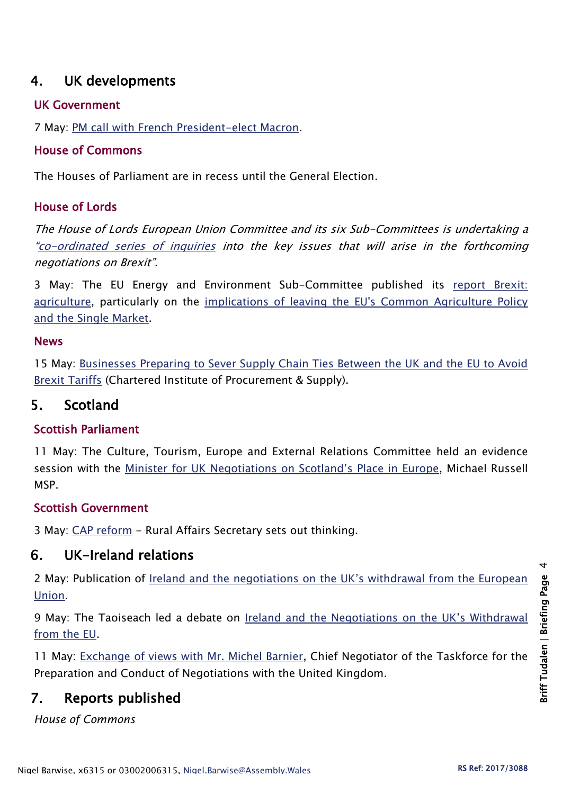# 4. UK developments

#### UK Government

7 May: [PM call with French President-elect Macron.](https://www.gov.uk/government/news/pm-call-with-french-president-elect-macron-7-may-2017)

#### House of Commons

The Houses of Parliament are in recess until the General Election.

## House of Lords

The House of Lords European Union Committee and its six Sub-Committees is undertaking a "[co-ordinated series of inquiries](http://www.parliament.uk/business/committees/committees-a-z/lords-select/eu-select-committee-/news-parliament-2015/co-ordinated-inquries-launch/) into the key issues that will arise in the forthcoming negotiations on Brexit".

3 May: The EU Energy and Environment Sub-Committee published its [report Brexit:](https://www.publications.parliament.uk/pa/ld201617/ldselect/ldeucom/169/169.pdf)  [agriculture,](https://www.publications.parliament.uk/pa/ld201617/ldselect/ldeucom/169/169.pdf) particularly on the [implications of leaving the EU's Common Agriculture Policy](http://www.parliament.uk/business/committees/committees-a-z/lords-select/eu-energy-environment-subcommittee/news-parliament-2015/brexit-agr-rpt/)  [and the Single Market.](http://www.parliament.uk/business/committees/committees-a-z/lords-select/eu-energy-environment-subcommittee/news-parliament-2015/brexit-agr-rpt/)

#### News

15 May: [Businesses Preparing to Sever Supply Chain Ties Between the UK and the EU to Avoid](https://www.cips.org/en-gb/news/news/businesses-preparing-to-sever-supply-chain-ties-between-the-uk-and-the-eu-to-avoid-brexit-tariffs/)  [Brexit Tariffs](https://www.cips.org/en-gb/news/news/businesses-preparing-to-sever-supply-chain-ties-between-the-uk-and-the-eu-to-avoid-brexit-tariffs/) (Chartered Institute of Procurement & Supply).

## 5. Scotland

## Scottish Parliament

11 May: The Culture, Tourism, Europe and External Relations Committee held an evidence session with the [Minister for UK Negotiations on Scotland's Place in Europe](http://www.parliament.scot/parliamentarybusiness/report.aspx?r=10941&i=100054), Michael Russell MSP.

## Scottish Government

3 May: [CAP reform](https://news.gov.scot/news/cap-reform) - Rural Affairs Secretary sets out thinking.

# 6. UK-Ireland relations

2 May: Publication of Ireland and the negotiations on [the UK's withdrawal from the European](http://www.merrionstreet.ie/MerrionStreet/en/EU-UK/Key_Irish_Documents/Government_Position_Paper_on_Brexit.pdf)  [Union.](http://www.merrionstreet.ie/MerrionStreet/en/EU-UK/Key_Irish_Documents/Government_Position_Paper_on_Brexit.pdf)

9 May: The Taoiseach led a debate on [Ireland and the Negotiations o](http://oireachtasdebates.oireachtas.ie/debates%20authoring/debateswebpack.nsf/takes/dail2017050900037?opendocument#KK00400)n the UK's Withdrawal [from the EU.](http://oireachtasdebates.oireachtas.ie/debates%20authoring/debateswebpack.nsf/takes/dail2017050900037?opendocument#KK00400)

11 May: [Exchange of views with Mr. Michel Barnier,](http://oireachtasdebates.oireachtas.ie/debates%20authoring/debateswebpack.nsf/takes/dail2017051100003?opendocument#A00075) Chief Negotiator of the Taskforce for the Preparation and Conduct of Negotiations with the United Kingdom.

# 7. Reports published

*House of Commons*